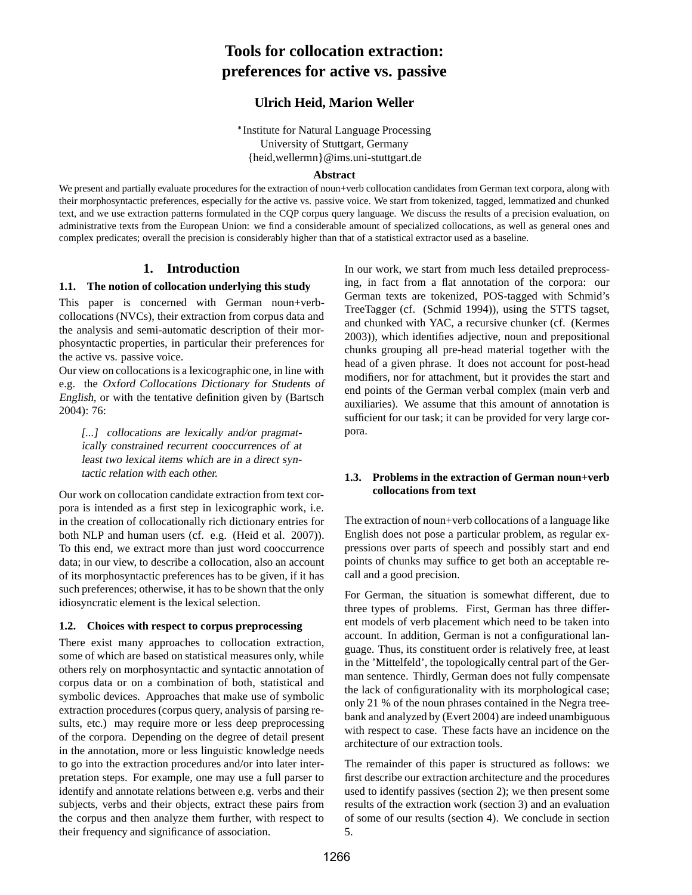# **Tools for collocation extraction: preferences for active vs. passive**

# **Ulrich Heid, Marion Weller**

\* Institute for Natural Language Processing University of Stuttgart, Germany {heid,wellermn}@ims.uni-stuttgart.de

#### **Abstract**

We present and partially evaluate procedures for the extraction of noun+verb collocation candidates from German text corpora, along with their morphosyntactic preferences, especially for the active vs. passive voice. We start from tokenized, tagged, lemmatized and chunked text, and we use extraction patterns formulated in the CQP corpus query language. We discuss the results of a precision evaluation, on administrative texts from the European Union: we find a considerable amount of specialized collocations, as well as general ones and complex predicates; overall the precision is considerably higher than that of a statistical extractor used as a baseline.

### **1. Introduction**

#### **1.1. The notion of collocation underlying this study**

This paper is concerned with German noun+verbcollocations (NVCs), their extraction from corpus data and the analysis and semi-automatic description of their morphosyntactic properties, in particular their preferences for the active vs. passive voice.

Our view on collocationsis a lexicographic one, in line with e.g. the Oxford Collocations Dictionary for Students of English, or with the tentative definition given by (Bartsch 2004): 76:

[...] collocations are lexically and/or pragmatically constrained recurrent cooccurrences of at least two lexical items which are in <sup>a</sup> direct syntactic relation with each other.

Our work on collocation candidate extraction from text corpora is intended as a first step in lexicographic work, i.e. in the creation of collocationally rich dictionary entries for both NLP and human users (cf. e.g. (Heid et al. 2007)). To this end, we extract more than just word cooccurrence data; in our view, to describe a collocation, also an account of its morphosyntactic preferences has to be given, if it has such preferences; otherwise, it has to be shown that the only idiosyncratic element is the lexical selection.

#### **1.2. Choices with respect to corpus preprocessing**

There exist many approaches to collocation extraction, some of which are based on statistical measures only, while others rely on morphosyntactic and syntactic annotation of corpus data or on a combination of both, statistical and symbolic devices. Approaches that make use of symbolic extraction procedures (corpus query, analysis of parsing results, etc.) may require more or less deep preprocessing of the corpora. Depending on the degree of detail present in the annotation, more or less linguistic knowledge needs to go into the extraction procedures and/or into later interpretation steps. For example, one may use a full parser to identify and annotate relations between e.g. verbs and their subjects, verbs and their objects, extract these pairs from the corpus and then analyze them further, with respect to their frequency and significance of association.

In our work, we start from much less detailed preprocessing, in fact from a flat annotation of the corpora: our German texts are tokenized, POS-tagged with Schmid's TreeTagger (cf. (Schmid 1994)), using the STTS tagset, and chunked with YAC, a recursive chunker (cf. (Kermes 2003)), which identifies adjective, noun and prepositional chunks grouping all pre-head material together with the head of a given phrase. It does not account for post-head modifiers, nor for attachment, but it provides the start and end points of the German verbal complex (main verb and auxiliaries). We assume that this amount of annotation is sufficient for our task; it can be provided for very large corpora.

### **1.3. Problems in the extraction of German noun+verb collocations from text**

The extraction of noun+verb collocations of a language like English does not pose a particular problem, as regular expressions over parts of speech and possibly start and end points of chunks may suffice to get both an acceptable recall and a good precision.

For German, the situation is somewhat different, due to three types of problems. First, German has three different models of verb placement which need to be taken into account. In addition, German is not a configurational language. Thus, its constituent order is relatively free, at least in the 'Mittelfeld', the topologically central part of the German sentence. Thirdly, German does not fully compensate the lack of configurationality with its morphological case; only 21 % of the noun phrases contained in the Negra treebank and analyzed by (Evert 2004) are indeed unambiguous with respect to case. These facts have an incidence on the architecture of our extraction tools.

The remainder of this paper is structured as follows: we first describe our extraction architecture and the procedures used to identify passives (section 2); we then present some results of the extraction work (section 3) and an evaluation of some of our results (section 4). We conclude in section 5.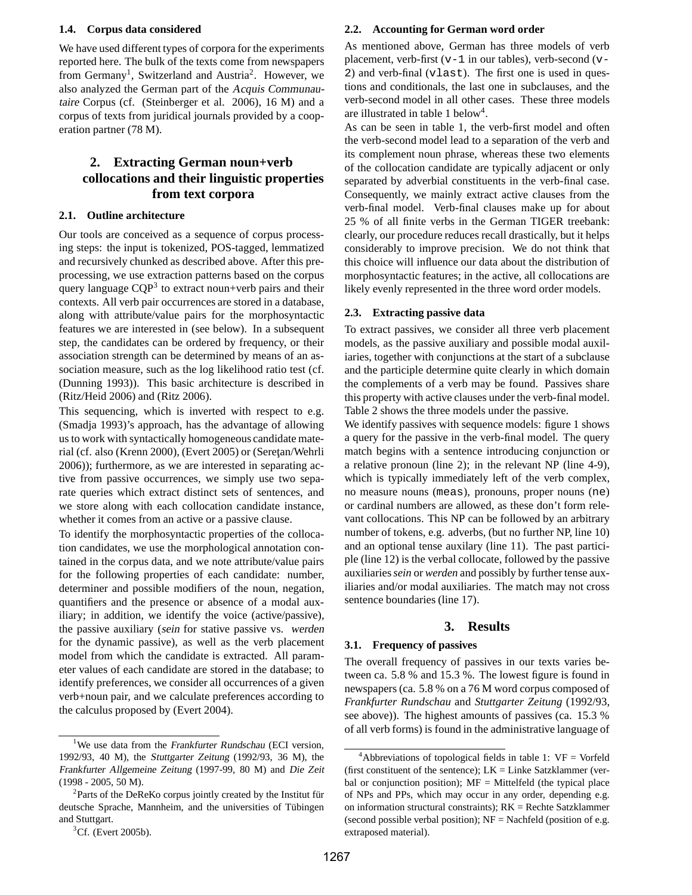#### **1.4. Corpus data considered**

We have used different types of corpora for the experiments reported here. The bulk of the texts come from newspapers from Germany<sup>1</sup>, Switzerland and Austria<sup>2</sup>. However, we also analyzed the German part of the Acquis Communautaire Corpus (cf. (Steinberger et al. 2006), 16 M) and a corpus of texts from juridical journals provided by a cooperation partner (78 M).

# **2. Extracting German noun+verb collocations and their linguistic properties from text corpora**

### **2.1. Outline architecture**

Our tools are conceived as a sequence of corpus processing steps: the input is tokenized, POS-tagged, lemmatized and recursively chunked as described above. After this preprocessing, we use extraction patterns based on the corpus query language  $CQP^3$  to extract noun+verb pairs and their contexts. All verb pair occurrences are stored in a database, along with attribute/value pairs for the morphosyntactic features we are interested in (see below). In a subsequent step, the candidates can be ordered by frequency, or their association strength can be determined by means of an association measure, such as the log likelihood ratio test (cf. (Dunning 1993)). This basic architecture is described in (Ritz/Heid 2006) and (Ritz 2006).

This sequencing, which is inverted with respect to e.g. (Smadja 1993)'s approach, has the advantage of allowing us to work with syntactically homogeneous candidate material (cf. also (Krenn 2000), (Evert 2005) or (Serețan/Wehrli 2006)); furthermore, as we are interested in separating active from passive occurrences, we simply use two separate queries which extract distinct sets of sentences, and we store along with each collocation candidate instance, whether it comes from an active or a passive clause.

To identify the morphosyntactic properties of the collocation candidates, we use the morphological annotation contained in the corpus data, and we note attribute/value pairs for the following properties of each candidate: number, determiner and possible modifiers of the noun, negation, quantifiers and the presence or absence of a modal auxiliary; in addition, we identify the voice (active/passive), the passive auxiliary (sein for stative passive vs. werden for the dynamic passive), as well as the verb placement model from which the candidate is extracted. All parameter values of each candidate are stored in the database; to identify preferences, we consider all occurrences of a given verb+noun pair, and we calculate preferences according to the calculus proposed by (Evert 2004).

#### **2.2. Accounting for German word order**

As mentioned above, German has three models of verb placement, verb-first  $(v-1)$  in our tables), verb-second  $(v-$ 2) and verb-final (vlast). The first one is used in questions and conditionals, the last one in subclauses, and the verb-second model in all other cases. These three models are illustrated in table 1 below 4 .

As can be seen in table 1, the verb-first model and often the verb-second model lead to a separation of the verb and its complement noun phrase, whereas these two elements of the collocation candidate are typically adjacent or only separated by adverbial constituents in the verb-final case. Consequently, we mainly extract active clauses from the verb-final model. Verb-final clauses make up for about 25 % of all finite verbs in the German TIGER treebank: clearly, our procedure reduces recall drastically, but it helps considerably to improve precision. We do not think that this choice will influence our data about the distribution of morphosyntactic features; in the active, all collocations are likely evenly represented in the three word order models.

#### **2.3. Extracting passive data**

To extract passives, we consider all three verb placement models, as the passive auxiliary and possible modal auxiliaries, together with conjunctions at the start of a subclause and the participle determine quite clearly in which domain the complements of a verb may be found. Passives share this property with active clauses under the verb-final model. Table 2 shows the three models under the passive.

We identify passives with sequence models: figure 1 shows a query for the passive in the verb-final model. The query match begins with a sentence introducing conjunction or a relative pronoun (line 2); in the relevant NP (line 4-9), which is typically immediately left of the verb complex, no measure nouns (meas), pronouns, proper nouns (ne) or cardinal numbers are allowed, as these don't form relevant collocations. This NP can be followed by an arbitrary number of tokens, e.g. adverbs, (but no further NP, line 10) and an optional tense auxilary (line 11). The past participle (line 12) is the verbal collocate, followed by the passive auxiliaries*sein* or *werden* and possibly by further tense auxiliaries and/or modal auxiliaries. The match may not cross sentence boundaries (line 17).

#### **3. Results**

#### **3.1. Frequency of passives**

The overall frequency of passives in our texts varies between ca. 5.8 % and 15.3 %. The lowest figure is found in newspapers (ca. 5.8 % on a 76 M word corpus composed of *Frankfurter Rundschau* and *Stuttgarter Zeitung* (1992/93, see above)). The highest amounts of passives (ca. 15.3 % of all verb forms) is found in the administrative language of

<sup>&</sup>lt;sup>1</sup>We use data from the Frankfurter Rundschau (ECI version, 1992/93, 40 M), the Stuttgarter Zeitung (1992/93, 36 M), the Frankfurter Allgemeine Zeitung (1997-99, 80 M) and Die Zeit (1998 - 2005, 50 M).

<sup>&</sup>lt;sup>2</sup>Parts of the DeReKo corpus jointly created by the Institut für deutsche Sprache, Mannheim, and the universities of Tübingen and Stuttgart.

 ${}^{3}$ Cf. (Evert 2005b).

 $4$ Abbreviations of topological fields in table 1: VF = Vorfeld (first constituent of the sentence);  $LK =$  Linke Satzklammer (verbal or conjunction position);  $MF = Mittelfeld$  (the typical place of NPs and PPs, which may occur in any order, depending e.g. on information structural constraints); RK = Rechte Satzklammer (second possible verbal position);  $NF = Nachfeld$  (position of e.g. extraposed material).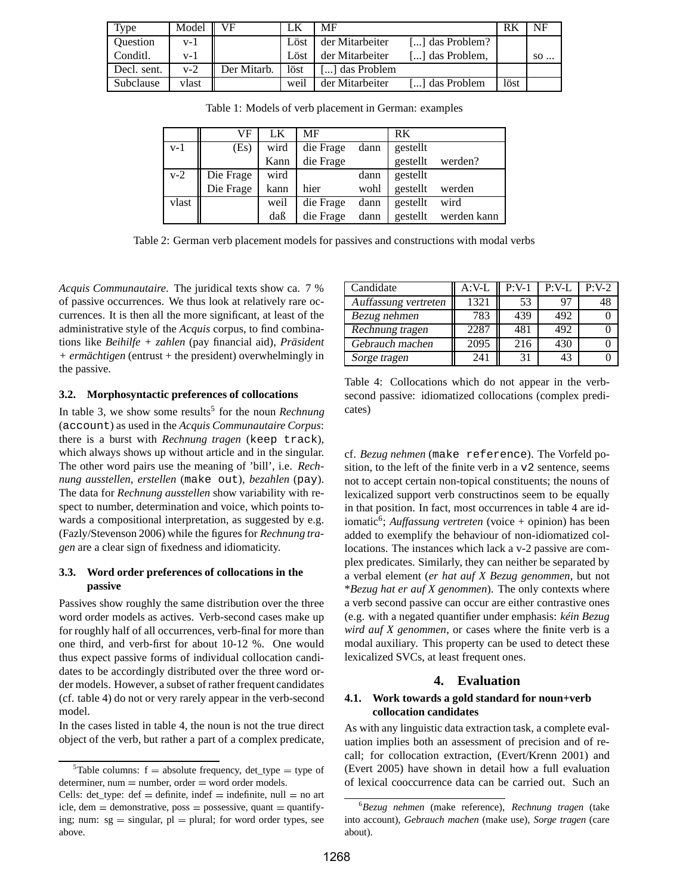| Type        | Model   | VF          | LК   | MF              |                 | RK   | NF   |
|-------------|---------|-------------|------|-----------------|-----------------|------|------|
| Question    | v- l    |             | Löst | der Mitarbeiter | [] das Problem? |      |      |
| Conditl.    | $V - 1$ |             | Löst | der Mitarbeiter | [] das Problem, |      | $SO$ |
| Decl. sent. | $v-2$   | Der Mitarb. | löst | ] das Problem   |                 |      |      |
| Subclause   | vlast   |             | weil | der Mitarbeiter | [] das Problem  | löst |      |

Table 1: Models of verb placement in German: examples

|       | VF        | LK   | MF        |      | RK       |             |
|-------|-----------|------|-----------|------|----------|-------------|
| v-1   | (Es)      | wird | die Frage | dann | gestellt |             |
|       |           | Kann | die Frage |      | gestellt | werden?     |
| v-2   | Die Frage | wird |           | dann | gestellt |             |
|       | Die Frage | kann | hier      | wohl | gestellt | werden      |
| vlast |           | weil | die Frage | dann | gestellt | wird        |
|       |           | daß  | die Frage | dann | gestellt | werden kann |

Table 2: German verb placement models for passives and constructions with modal verbs

*Acquis Communautaire*. The juridical texts show ca. 7 % of passive occurrences. We thus look at relatively rare occurrences. It is then all the more significant, at least of the administrative style of the *Acquis* corpus, to find combinations like *Beihilfe + zahlen* (pay financial aid), *Präsident + ermächtigen* (entrust + the president) overwhelmingly in the passive.

#### **3.2. Morphosyntactic preferences of collocations**

In table 3, we show some results<sup>5</sup> for the noun *Rechnung* (account) as used in the *Acquis Communautaire Corpus*: there is a burst with *Rechnung tragen* (keep track), which always shows up without article and in the singular. The other word pairs use the meaning of 'bill', i.e. *Rechnung ausstellen*, *erstellen* (make out), *bezahlen* (pay). The data for *Rechnung ausstellen* show variability with respect to number, determination and voice, which points towards a compositional interpretation, as suggested by e.g. (Fazly/Stevenson 2006) while the figures for *Rechnung tragen* are a clear sign of fixedness and idiomaticity.

#### **3.3. Word order preferences of collocations in the passive**

Passives show roughly the same distribution over the three word order models as actives. Verb-second cases make up for roughly half of all occurrences, verb-final for more than one third, and verb-first for about 10-12 %. One would thus expect passive forms of individual collocation candidates to be accordingly distributed over the three word order models. However, a subset of rather frequent candidates (cf. table 4) do not or very rarely appear in the verb-second model.

In the cases listed in table 4, the noun is not the true direct object of the verb, but rather a part of a complex predicate,

| Candidate            | A:V-L | $P:V-1$ | $P:V-L$ | $P:V-2$ |
|----------------------|-------|---------|---------|---------|
| Auffassung vertreten | 1321  | 53      | 97      |         |
| Bezug nehmen         | 783   | 439     | 492     |         |
| Rechnung tragen      | 2287  | 481     | 492     |         |
| Gebrauch machen      | 2095  | 216     | 430     |         |
| Sorge tragen         | 241   | 31      | 43      |         |

Table 4: Collocations which do not appear in the verbsecond passive: idiomatized collocations (complex predicates)

cf. *Bezug nehmen* (make reference). The Vorfeld position, to the left of the finite verb in a v2 sentence, seems not to accept certain non-topical constituents; the nouns of lexicalized support verb constructinos seem to be equally in that position. In fact, most occurrences in table 4 are idiomatic<sup>6</sup> ; *Auffassung vertreten* (voice + opinion) has been added to exemplify the behaviour of non-idiomatized collocations. The instances which lack a v-2 passive are complex predicates. Similarly, they can neither be separated by a verbal element (*er hat auf X Bezug genommen*, but not \**Bezug hat er auf X genommen*). The only contexts where a verb second passive can occur are either contrastive ones (e.g. with a negated quantifier under emphasis: *kéin Bezug wird auf X genommen*, or cases where the finite verb is a modal auxiliary. This property can be used to detect these lexicalized SVCs, at least frequent ones.

### **4. Evaluation**

### **4.1. Work towards a gold standard for noun+verb collocation candidates**

As with any linguistic data extraction task, a complete evaluation implies both an assessment of precision and of recall; for collocation extraction, (Evert/Krenn 2001) and (Evert 2005) have shown in detail how a full evaluation of lexical cooccurrence data can be carried out. Such an

<sup>&</sup>lt;sup>5</sup>Table columns:  $f =$  absolute frequency, det\_type = type of  $d$ eterminer, num  $=$  number, order  $=$  word order models.

Cells: det\_type: def = definite, indef = indefinite, null = no art  $i$ cle, dem = demonstrative, poss = possessive, quant = quantifying; num:  $sg =$  singular,  $pl =$  plural; for word order types, see above.

<sup>6</sup>*Bezug nehmen* (make reference), *Rechnung tragen* (take into account), *Gebrauch machen* (make use), *Sorge tragen* (care about).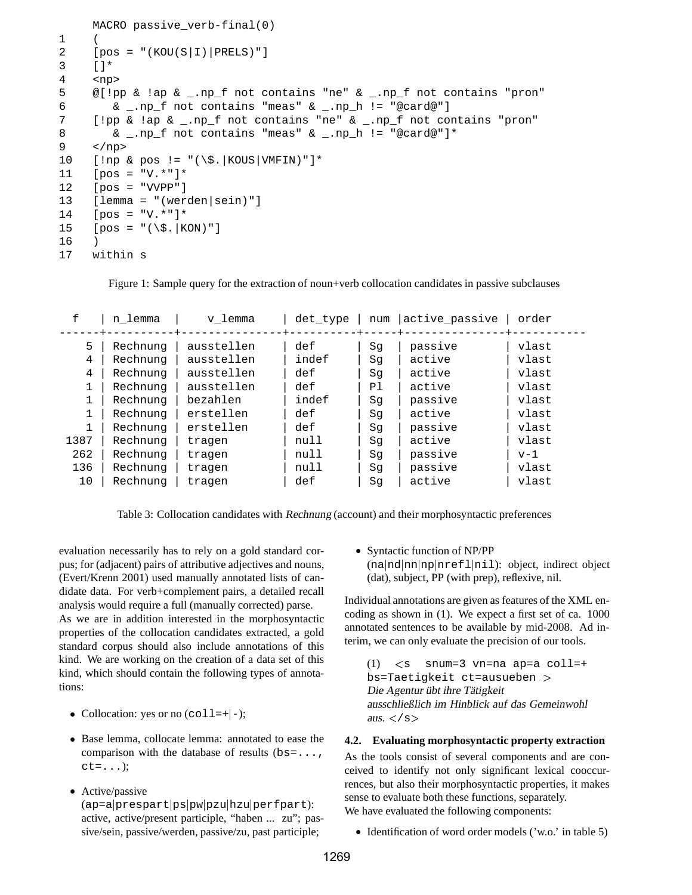```
MACRO passive_verb-final(0)
1 (
2 [pos = "(KOU(S|I)|PRELS)"]
3 \mid \cdot \mid \cdot4 <np>
5 @[!pp & !ap & _.np_f not contains "ne" & _.np_f not contains "pron"
6 \qquad \& \_.\text{np\_f not contains "meas" & \_.\text{np\_h} != "@card@"]7 [!pp & !ap & _.np_f not contains "ne" & _.np_f not contains "pron"
8 & _.np_f not contains "meas" & _.np_h != "@card@"]*
9 </np>
10 [!np & pos != "(\$.|KOUS|VMFIN)"]*
11 [pos = "V.*"]*
12 [pos = "VVPP"]
13 [lemma = "(werden|sein)"]
14 [pos = "V.*"]*
15 [pos = "(\S, |KON)"]16 )
17 within s
```
Figure 1: Sample query for the extraction of noun+verb collocation candidates in passive subclauses

| f    | n lemma  | v lemma    | det type | num | active passive | order |
|------|----------|------------|----------|-----|----------------|-------|
| 5    | Rechnung | ausstellen | def      | Sq  | passive        | vlast |
| 4    | Rechnung | ausstellen | indef    | Sq  | active         | vlast |
| 4    | Rechnung | ausstellen | def      | Sq  | active         | vlast |
|      | Rechnung | ausstellen | def      | Ρl  | active         | vlast |
|      | Rechnung | bezahlen   | indef    | Sq  | passive        | vlast |
|      | Rechnung | erstellen  | def      | Sq  | active         | vlast |
|      | Rechnung | erstellen  | def      | Sq  | passive        | vlast |
| 1387 | Rechnung | tragen     | null     | Sq  | active         | vlast |
| 262  | Rechnung | tragen     | null     | Sq  | passive        | $v-1$ |
| 136  | Rechnung | tragen     | null     | Sq  | passive        | vlast |
| 10   | Rechnung | tragen     | def      | Sq  | active         | vlast |

Table 3: Collocation candidates with Rechnung (account) and their morphosyntactic preferences

evaluation necessarily has to rely on a gold standard corpus; for (adjacent) pairs of attributive adjectives and nouns, (Evert/Krenn 2001) used manually annotated lists of candidate data. For verb+complement pairs, a detailed recall analysis would require a full (manually corrected) parse.

As we are in addition interested in the morphosyntactic properties of the collocation candidates extracted, a gold standard corpus should also include annotations of this kind. We are working on the creation of a data set of this kind, which should contain the following types of annotations:

- Collocation: yes or no  $(col1=+|-);$
- Base lemma, collocate lemma: annotated to ease the comparison with the database of results  $(bs=...,$  $ct = . . .$ );
- Active/passive

(ap=a|prespart|ps|pw|pzu|hzu|perfpart): active, active/present participle, "haben ... zu"; passive/sein, passive/werden, passive/zu, past participle;

 Syntactic function of NP/PP (na |nd |nn |np |nrefl |nil): object, indirect object (dat), subject, PP (with prep), reflexive, nil.

Individual annotations are given as features of the XML encoding as shown in (1). We expect a first set of ca. 1000 annotated sentences to be available by mid-2008. Ad interim, we can only evaluate the precision of our tools.

 $(1)$  $\leq$ s snum=3 vn=na ap=a coll=+ bs=Taetigkeit ct=ausueben Die Agentur übt ihre Tätigkeit ausschließlich im Hinblick auf das Gemeinwohl aus.  $\lt$ /s $>$ 

### **4.2. Evaluating morphosyntactic property extraction**

As the tools consist of several components and are conceived to identify not only significant lexical cooccurrences, but also their morphosyntactic properties, it makes sense to evaluate both these functions, separately. We have evaluated the following components:

• Identification of word order models ('w.o.' in table 5)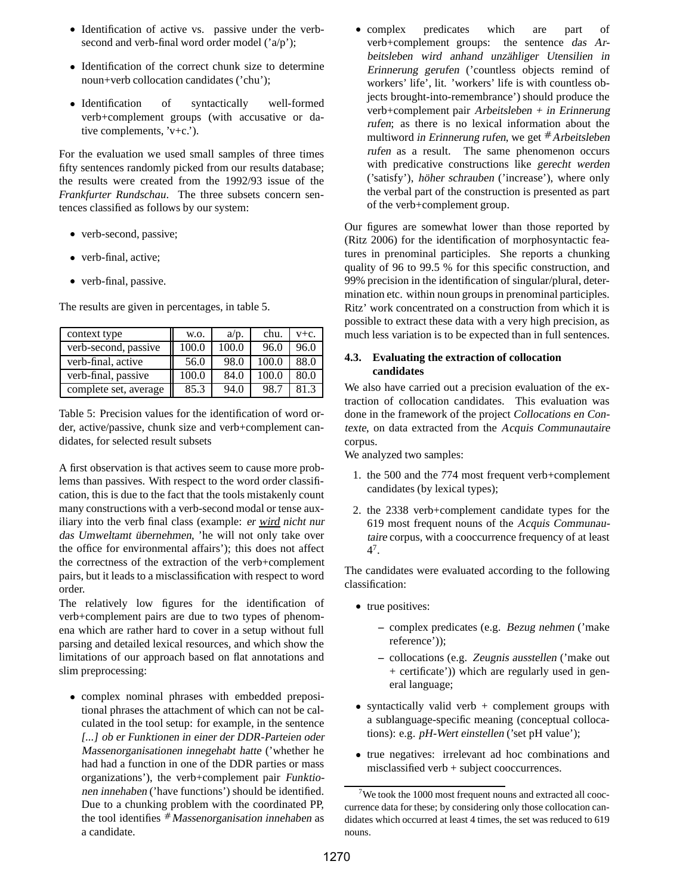- Identification of active vs. passive under the verbsecond and verb-final word order model ('a/p');
- Identification of the correct chunk size to determine noun+verb collocation candidates ('chu');
- Identification of syntactically well-formed verb+complement groups (with accusative or dative complements, 'v+c.').

For the evaluation we used small samples of three times fifty sentences randomly picked from our results database; the results were created from the 1992/93 issue of the *Frankfurter Rundschau*. The three subsets concern sentences classified as follows by our system:

- verb-second, passive;
- verb-final, active;
- verb-final, passive.

The results are given in percentages, in table 5.

| context type          | W.O.  | a/p.  | chu.  | $V + C$ . |
|-----------------------|-------|-------|-------|-----------|
| verb-second, passive  | 100.0 | 100.0 | 96.0  | 96.0      |
| verb-final, active    | 56.0  | 98.0  | 100.0 | 88.0      |
| verb-final, passive   | 100.0 | 84.0  | 100.0 | 80.0      |
| complete set, average | 85.3  | 94.0  | 98.7  | 813       |

Table 5: Precision values for the identification of word order, active/passive, chunk size and verb+complement candidates, for selected result subsets

A first observation is that actives seem to cause more problems than passives. With respect to the word order classification, this is due to the fact that the tools mistakenly count many constructions with a verb-second modal or tense auxiliary into the verb final class (example: er wird nicht nur das Umweltamt übernehmen, 'he will not only take over the office for environmental affairs'); this does not affect the correctness of the extraction of the verb+complement pairs, but it leads to a misclassification with respect to word order.

The relatively low figures for the identification of verb+complement pairs are due to two types of phenomena which are rather hard to cover in a setup without full parsing and detailed lexical resources, and which show the limitations of our approach based on flat annotations and slim preprocessing:

 complex nominal phrases with embedded prepositional phrases the attachment of which can not be calculated in the tool setup: for example, in the sentence [...] ob er Funktionen in einer der DDR-Parteien oder Massenorganisationen innegehabt hatte ('whether he had had a function in one of the DDR parties or mass organizations'), the verb+complement pair Funktionen innehaben ('have functions') should be identified. Due to a chunking problem with the coordinated PP, the tool identifies  $*$  Massenorganisation innehaben as a candidate.

 $\bullet$  complex predicates which are part of verb+complement groups: the sentence das Arbeitsleben wird anhand unzähliger Utensilien in Erinnerung gerufen ('countless objects remind of workers' life', lit. 'workers' life is with countless objects brought-into-remembrance') should produce the verb+complement pair Arbeitsleben <sup>+</sup> in Erinnerung rufen; as there is no lexical information about the multiword in Erinnerung rufen, we get  $#$  Arbeitsleben rufen as a result. The same phenomenon occurs with predicative constructions like gerecht werden ('satisfy'), höher schrauben ('increase'), where only the verbal part of the construction is presented as part of the verb+complement group.

Our figures are somewhat lower than those reported by (Ritz 2006) for the identification of morphosyntactic features in prenominal participles. She reports a chunking quality of 96 to 99.5 % for this specific construction, and 99% precision in the identification of singular/plural, determination etc. within noun groups in prenominal participles. Ritz' work concentrated on a construction from which it is possible to extract these data with a very high precision, as much less variation is to be expected than in full sentences.

## **4.3. Evaluating the extraction of collocation candidates**

We also have carried out a precision evaluation of the extraction of collocation candidates. This evaluation was done in the framework of the project Collocations en Contexte, on data extracted from the Acquis Communautaire corpus.

We analyzed two samples:

- 1. the 500 and the 774 most frequent verb+complement candidates (by lexical types);
- 2. the 2338 verb+complement candidate types for the 619 most frequent nouns of the Acquis Communautaire corpus, with a cooccurrence frequency of at least 4 7 .

The candidates were evaluated according to the following classification:

- true positives:
	- **–** complex predicates (e.g. Bezug nehmen ('make reference'));
	- **–** collocations (e.g. Zeugnis ausstellen ('make out + certificate')) which are regularly used in general language;
- syntactically valid verb + complement groups with a sublanguage-specific meaning (conceptual collocations): e.g. pH-Wert einstellen ('set pH value');
- true negatives: irrelevant ad hoc combinations and misclassified verb + subject cooccurrences.

 $7$ We took the 1000 most frequent nouns and extracted all cooccurrence data for these; by considering only those collocation candidates which occurred at least 4 times, the set was reduced to 619 nouns.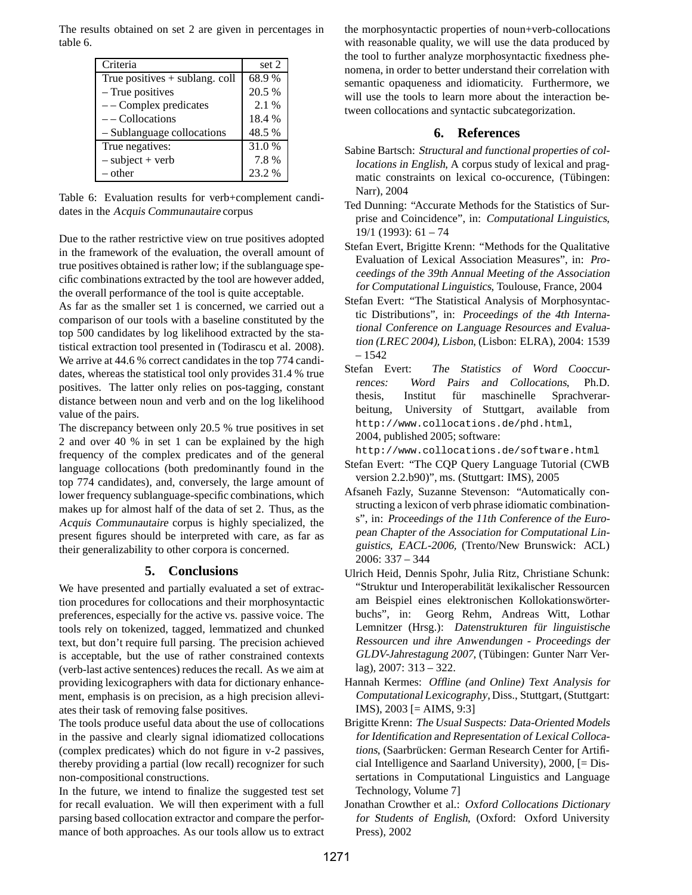The results obtained on set 2 are given in percentages in table 6.

| Criteria                         | set 2  |
|----------------------------------|--------|
| True positives $+$ sublang. coll | 68.9%  |
| - True positives                 | 20.5 % |
| $--$ Complex predicates          | 2.1 %  |
| $-$ - Collocations               | 18.4 % |
| - Sublanguage collocations       | 48.5%  |
| True negatives:                  | 31.0 % |
| $-$ subject + verb               | 7.8%   |
| – other                          | 23.2 % |

Table 6: Evaluation results for verb+complement candidates in the Acquis Communautaire corpus

Due to the rather restrictive view on true positives adopted in the framework of the evaluation, the overall amount of true positives obtained is rather low; if the sublanguage specific combinations extracted by the tool are however added, the overall performance of the tool is quite acceptable.

As far as the smaller set 1 is concerned, we carried out a comparison of our tools with a baseline constituted by the top 500 candidates by log likelihood extracted by the statistical extraction tool presented in (Todirascu et al. 2008). We arrive at 44.6 % correct candidates in the top 774 candidates, whereas the statistical tool only provides 31.4 % true positives. The latter only relies on pos-tagging, constant distance between noun and verb and on the log likelihood value of the pairs.

The discrepancy between only 20.5 % true positives in set 2 and over 40 % in set 1 can be explained by the high frequency of the complex predicates and of the general language collocations (both predominantly found in the top 774 candidates), and, conversely, the large amount of lower frequency sublanguage-specific combinations, which makes up for almost half of the data of set 2. Thus, as the Acquis Communautaire corpus is highly specialized, the present figures should be interpreted with care, as far as their generalizability to other corpora is concerned.

# **5. Conclusions**

We have presented and partially evaluated a set of extraction procedures for collocations and their morphosyntactic preferences, especially for the active vs. passive voice. The tools rely on tokenized, tagged, lemmatized and chunked text, but don't require full parsing. The precision achieved is acceptable, but the use of rather constrained contexts (verb-last active sentences) reduces the recall. As we aim at providing lexicographers with data for dictionary enhancement, emphasis is on precision, as a high precision alleviates their task of removing false positives.

The tools produce useful data about the use of collocations in the passive and clearly signal idiomatized collocations (complex predicates) which do not figure in v-2 passives, thereby providing a partial (low recall) recognizer for such non-compositional constructions.

In the future, we intend to finalize the suggested test set for recall evaluation. We will then experiment with a full parsing based collocation extractor and compare the performance of both approaches. As our tools allow us to extract

the morphosyntactic properties of noun+verb-collocations with reasonable quality, we will use the data produced by the tool to further analyze morphosyntactic fixedness phenomena, in order to better understand their correlation with semantic opaqueness and idiomaticity. Furthermore, we will use the tools to learn more about the interaction between collocations and syntactic subcategorization.

# **6. References**

- Sabine Bartsch: Structural and functional properties of collocations in English, A corpus study of lexical and pragmatic constraints on lexical co-occurence, (Tübingen: Narr), 2004
- Ted Dunning: "Accurate Methods for the Statistics of Surprise and Coincidence", in: Computational Linguistics, 19/1 (1993): 61 – 74
- Stefan Evert, Brigitte Krenn: "Methods for the Qualitative Evaluation of Lexical Association Measures", in: Proceedings of the 39th Annual Meeting of the Association for Computational Linguistics, Toulouse, France, 2004
- Stefan Evert: "The Statistical Analysis of Morphosyntactic Distributions", in: Proceedings of the 4th International Conference on Language Resources and Evaluation (LREC 2004), Lisbon, (Lisbon: ELRA), 2004: 1539 – 1542
- Stefan Evert: The Statistics of Word Cooccurrences: Word Pairs and Collocations, Ph.D. thesis, Institut für maschinelle Sprachverarbeitung, University of Stuttgart, available from http://www.collocations.de/phd.html, 2004, published 2005; software:

http://www.collocations.de/software.html

- Stefan Evert: "The CQP Query Language Tutorial (CWB version 2.2.b90)", ms. (Stuttgart: IMS), 2005
- Afsaneh Fazly, Suzanne Stevenson: "Automatically constructing a lexicon of verb phrase idiomatic combinations", in: Proceedings of the 11th Conference of the European Chapter of the Association for Computational Linguistics, EACL-2006, (Trento/New Brunswick: ACL) 2006: 337 – 344
- Ulrich Heid, Dennis Spohr, Julia Ritz, Christiane Schunk: "Struktur und Interoperabilität lexikalischer Ressourcen am Beispiel eines elektronischen Kollokationswörterbuchs", in: Georg Rehm, Andreas Witt, Lothar Lemnitzer (Hrsg.): Datenstrukturen für linguistische Ressourcen und ihre Anwendungen - Proceedings der GLDV-Jahrestagung <sup>2007</sup>, (Tübingen: Gunter Narr Verlag), 2007: 313 – 322.
- Hannah Kermes: Offline (and Online) Text Analysis for Computational Lexicography, Diss., Stuttgart, (Stuttgart:  $IMS$ ),  $2003$  [= AIMS, 9:3]
- Brigitte Krenn: The Usual Suspects: Data-Oriented Models for Identification and Representation of Lexical Collocations, (Saarbrücken: German Research Center for Artificial Intelligence and Saarland University), 2000, [= Dissertations in Computational Linguistics and Language Technology, Volume 7]
- Jonathan Crowther et al.: Oxford Collocations Dictionary for Students of English, (Oxford: Oxford University Press), 2002